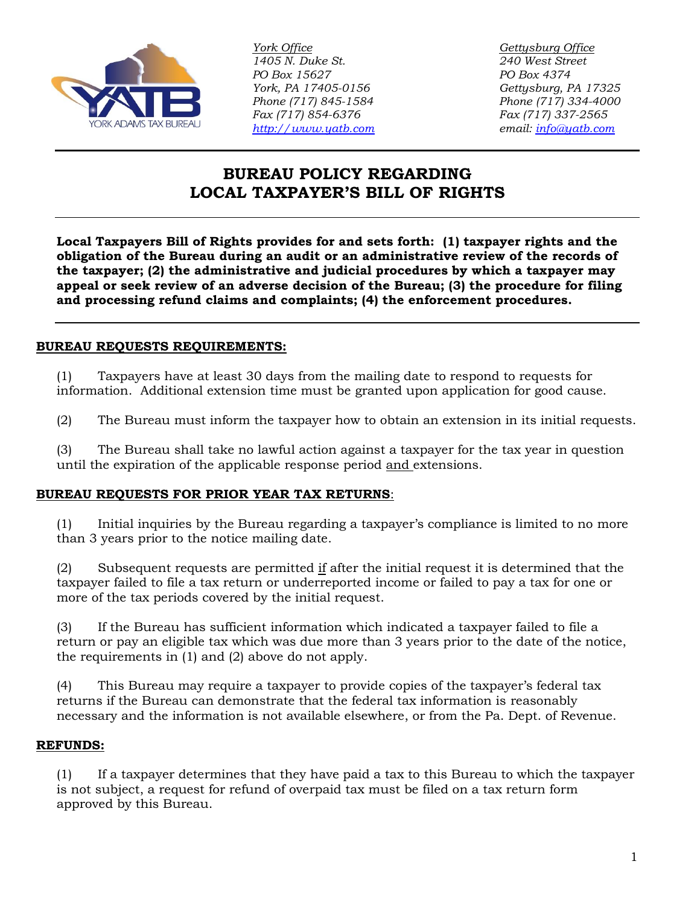

*York Office Gettysburg Office 1405 N. Duke St. 240 West Street PO Box 15627 PO Box 4374 York, PA 17405-0156 Gettysburg, PA 17325 Phone (717) 845-1584 Phone (717) 334-4000 Fax (717) 854-6376 Fax (717) 337-2565 [http://www.yatb.com](http://www.yatb.com/) email: [info@yatb.com](mailto:info@yatb.com)*

# **BUREAU POLICY REGARDING LOCAL TAXPAYER'S BILL OF RIGHTS**

**Local Taxpayers Bill of Rights provides for and sets forth: (1) taxpayer rights and the obligation of the Bureau during an audit or an administrative review of the records of the taxpayer; (2) the administrative and judicial procedures by which a taxpayer may appeal or seek review of an adverse decision of the Bureau; (3) the procedure for filing and processing refund claims and complaints; (4) the enforcement procedures.**

# **BUREAU REQUESTS REQUIREMENTS:**

(1) Taxpayers have at least 30 days from the mailing date to respond to requests for information. Additional extension time must be granted upon application for good cause.

(2) The Bureau must inform the taxpayer how to obtain an extension in its initial requests.

(3) The Bureau shall take no lawful action against a taxpayer for the tax year in question until the expiration of the applicable response period and extensions.

#### **BUREAU REQUESTS FOR PRIOR YEAR TAX RETURNS**:

(1) Initial inquiries by the Bureau regarding a taxpayer's compliance is limited to no more than 3 years prior to the notice mailing date.

(2) Subsequent requests are permitted  $\underline{if}$  after the initial request it is determined that the taxpayer failed to file a tax return or underreported income or failed to pay a tax for one or more of the tax periods covered by the initial request.

(3) If the Bureau has sufficient information which indicated a taxpayer failed to file a return or pay an eligible tax which was due more than 3 years prior to the date of the notice, the requirements in (1) and (2) above do not apply.

(4) This Bureau may require a taxpayer to provide copies of the taxpayer's federal tax returns if the Bureau can demonstrate that the federal tax information is reasonably necessary and the information is not available elsewhere, or from the Pa. Dept. of Revenue.

#### **REFUNDS:**

(1) If a taxpayer determines that they have paid a tax to this Bureau to which the taxpayer is not subject, a request for refund of overpaid tax must be filed on a tax return form approved by this Bureau.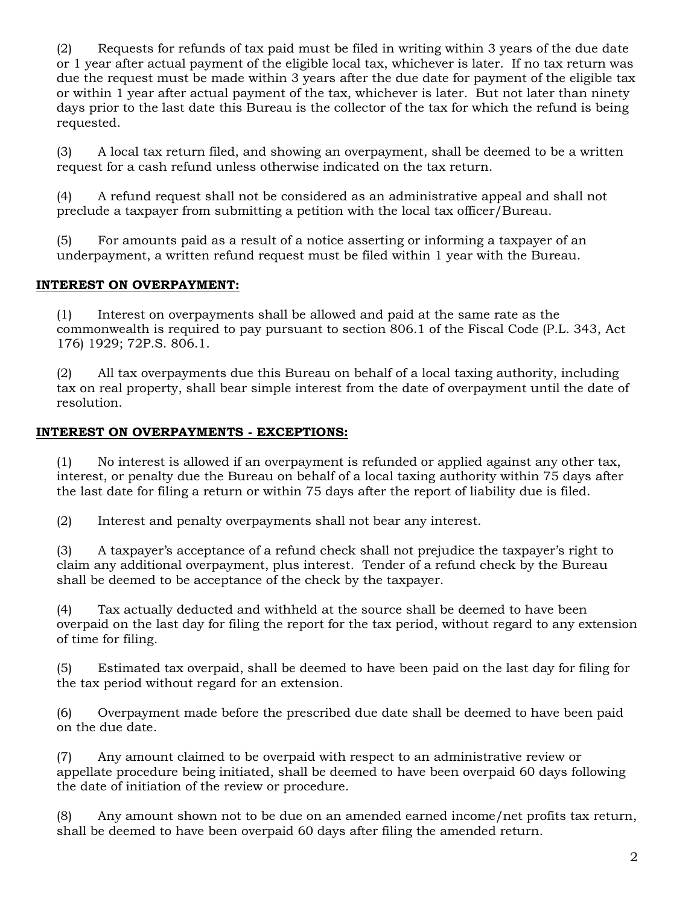(2) Requests for refunds of tax paid must be filed in writing within 3 years of the due date or 1 year after actual payment of the eligible local tax, whichever is later. If no tax return was due the request must be made within 3 years after the due date for payment of the eligible tax or within 1 year after actual payment of the tax, whichever is later. But not later than ninety days prior to the last date this Bureau is the collector of the tax for which the refund is being requested.

(3) A local tax return filed, and showing an overpayment, shall be deemed to be a written request for a cash refund unless otherwise indicated on the tax return.

(4) A refund request shall not be considered as an administrative appeal and shall not preclude a taxpayer from submitting a petition with the local tax officer/Bureau.

(5) For amounts paid as a result of a notice asserting or informing a taxpayer of an underpayment, a written refund request must be filed within 1 year with the Bureau.

# **INTEREST ON OVERPAYMENT:**

(1) Interest on overpayments shall be allowed and paid at the same rate as the commonwealth is required to pay pursuant to section 806.1 of the Fiscal Code (P.L. 343, Act 176) 1929; 72P.S. 806.1.

(2) All tax overpayments due this Bureau on behalf of a local taxing authority, including tax on real property, shall bear simple interest from the date of overpayment until the date of resolution.

# **INTEREST ON OVERPAYMENTS - EXCEPTIONS:**

(1) No interest is allowed if an overpayment is refunded or applied against any other tax, interest, or penalty due the Bureau on behalf of a local taxing authority within 75 days after the last date for filing a return or within 75 days after the report of liability due is filed.

(2) Interest and penalty overpayments shall not bear any interest.

(3) A taxpayer's acceptance of a refund check shall not prejudice the taxpayer's right to claim any additional overpayment, plus interest. Tender of a refund check by the Bureau shall be deemed to be acceptance of the check by the taxpayer.

(4) Tax actually deducted and withheld at the source shall be deemed to have been overpaid on the last day for filing the report for the tax period, without regard to any extension of time for filing.

(5) Estimated tax overpaid, shall be deemed to have been paid on the last day for filing for the tax period without regard for an extension.

(6) Overpayment made before the prescribed due date shall be deemed to have been paid on the due date.

(7) Any amount claimed to be overpaid with respect to an administrative review or appellate procedure being initiated, shall be deemed to have been overpaid 60 days following the date of initiation of the review or procedure.

(8) Any amount shown not to be due on an amended earned income/net profits tax return, shall be deemed to have been overpaid 60 days after filing the amended return.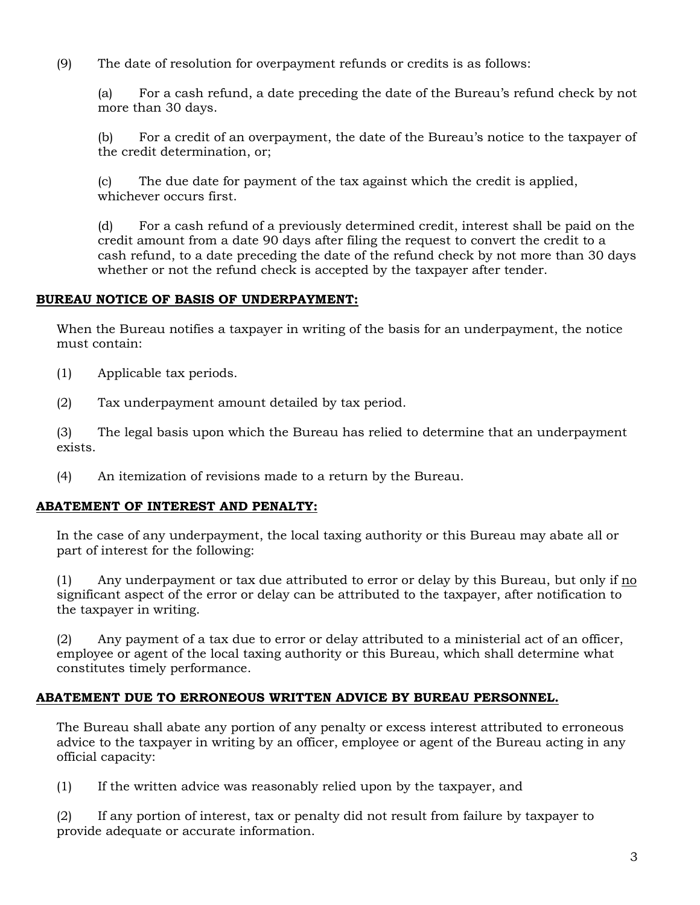(9) The date of resolution for overpayment refunds or credits is as follows:

(a) For a cash refund, a date preceding the date of the Bureau's refund check by not more than 30 days.

(b) For a credit of an overpayment, the date of the Bureau's notice to the taxpayer of the credit determination, or;

(c) The due date for payment of the tax against which the credit is applied, whichever occurs first.

(d) For a cash refund of a previously determined credit, interest shall be paid on the credit amount from a date 90 days after filing the request to convert the credit to a cash refund, to a date preceding the date of the refund check by not more than 30 days whether or not the refund check is accepted by the taxpayer after tender.

#### **BUREAU NOTICE OF BASIS OF UNDERPAYMENT:**

When the Bureau notifies a taxpayer in writing of the basis for an underpayment, the notice must contain:

- (1) Applicable tax periods.
- (2) Tax underpayment amount detailed by tax period.

(3) The legal basis upon which the Bureau has relied to determine that an underpayment exists.

(4) An itemization of revisions made to a return by the Bureau.

#### **ABATEMENT OF INTEREST AND PENALTY:**

In the case of any underpayment, the local taxing authority or this Bureau may abate all or part of interest for the following:

(1) Any underpayment or tax due attributed to error or delay by this Bureau, but only if no significant aspect of the error or delay can be attributed to the taxpayer, after notification to the taxpayer in writing.

(2) Any payment of a tax due to error or delay attributed to a ministerial act of an officer, employee or agent of the local taxing authority or this Bureau, which shall determine what constitutes timely performance.

#### **ABATEMENT DUE TO ERRONEOUS WRITTEN ADVICE BY BUREAU PERSONNEL.**

The Bureau shall abate any portion of any penalty or excess interest attributed to erroneous advice to the taxpayer in writing by an officer, employee or agent of the Bureau acting in any official capacity:

(1) If the written advice was reasonably relied upon by the taxpayer, and

(2) If any portion of interest, tax or penalty did not result from failure by taxpayer to provide adequate or accurate information.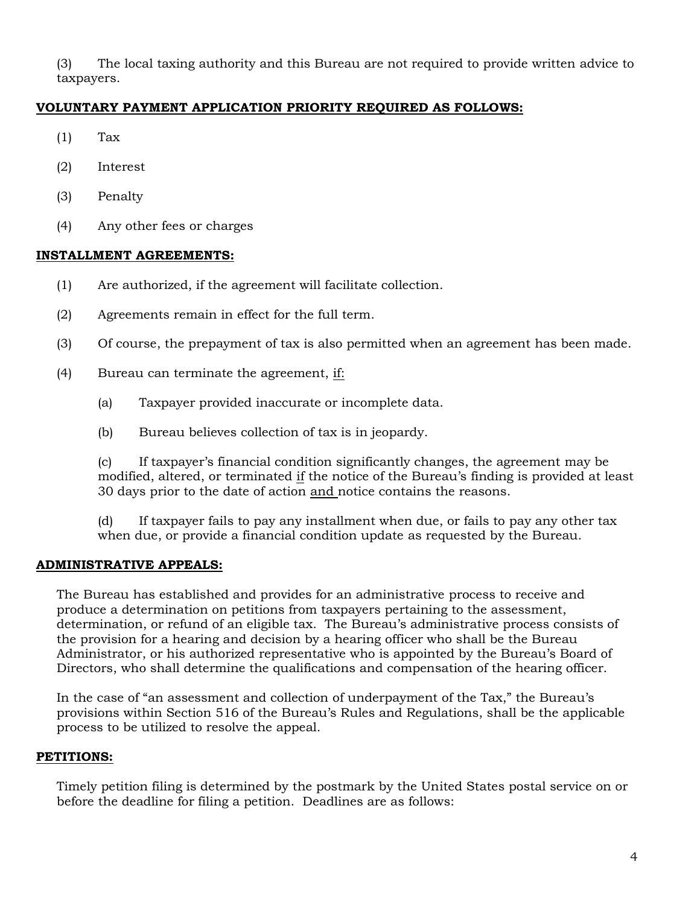(3) The local taxing authority and this Bureau are not required to provide written advice to taxpayers.

# **VOLUNTARY PAYMENT APPLICATION PRIORITY REQUIRED AS FOLLOWS:**

- $(1)$  Tax
- (2) Interest
- (3) Penalty
- (4) Any other fees or charges

# **INSTALLMENT AGREEMENTS:**

- (1) Are authorized, if the agreement will facilitate collection.
- (2) Agreements remain in effect for the full term.
- (3) Of course, the prepayment of tax is also permitted when an agreement has been made.
- (4) Bureau can terminate the agreement, if:
	- (a) Taxpayer provided inaccurate or incomplete data.
	- (b) Bureau believes collection of tax is in jeopardy.

(c) If taxpayer's financial condition significantly changes, the agreement may be modified, altered, or terminated if the notice of the Bureau's finding is provided at least 30 days prior to the date of action and notice contains the reasons.

(d) If taxpayer fails to pay any installment when due, or fails to pay any other tax when due, or provide a financial condition update as requested by the Bureau.

# **ADMINISTRATIVE APPEALS:**

The Bureau has established and provides for an administrative process to receive and produce a determination on petitions from taxpayers pertaining to the assessment, determination, or refund of an eligible tax. The Bureau's administrative process consists of the provision for a hearing and decision by a hearing officer who shall be the Bureau Administrator, or his authorized representative who is appointed by the Bureau's Board of Directors, who shall determine the qualifications and compensation of the hearing officer.

In the case of "an assessment and collection of underpayment of the Tax," the Bureau's provisions within Section 516 of the Bureau's Rules and Regulations, shall be the applicable process to be utilized to resolve the appeal.

# **PETITIONS:**

Timely petition filing is determined by the postmark by the United States postal service on or before the deadline for filing a petition. Deadlines are as follows: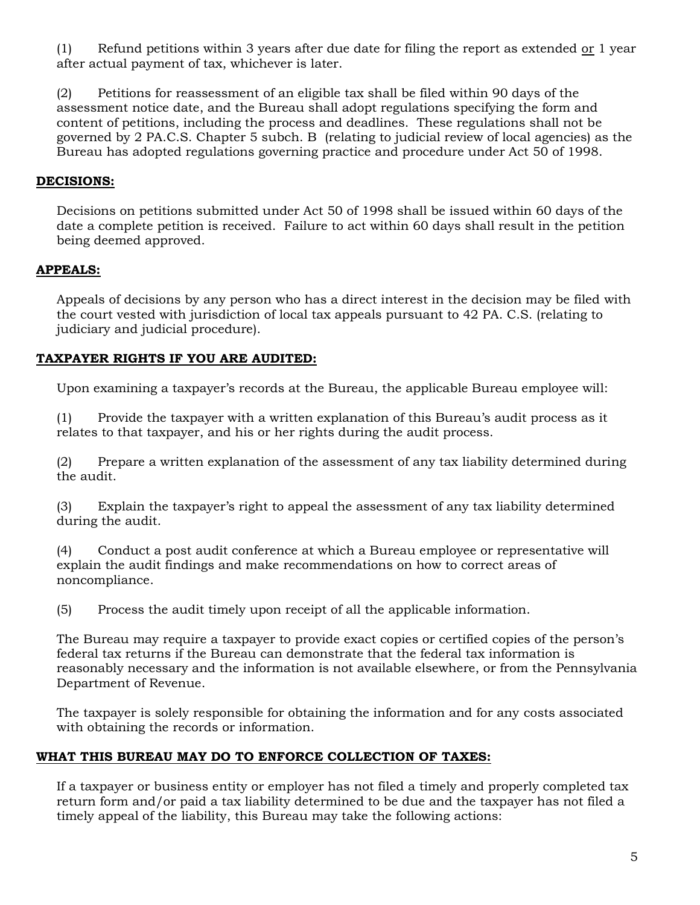(1) Refund petitions within 3 years after due date for filing the report as extended  $or 1$  year</u> after actual payment of tax, whichever is later.

(2) Petitions for reassessment of an eligible tax shall be filed within 90 days of the assessment notice date, and the Bureau shall adopt regulations specifying the form and content of petitions, including the process and deadlines. These regulations shall not be governed by 2 PA.C.S. Chapter 5 subch. B (relating to judicial review of local agencies) as the Bureau has adopted regulations governing practice and procedure under Act 50 of 1998.

# **DECISIONS:**

Decisions on petitions submitted under Act 50 of 1998 shall be issued within 60 days of the date a complete petition is received. Failure to act within 60 days shall result in the petition being deemed approved.

# **APPEALS:**

Appeals of decisions by any person who has a direct interest in the decision may be filed with the court vested with jurisdiction of local tax appeals pursuant to 42 PA. C.S. (relating to judiciary and judicial procedure).

# **TAXPAYER RIGHTS IF YOU ARE AUDITED:**

Upon examining a taxpayer's records at the Bureau, the applicable Bureau employee will:

(1) Provide the taxpayer with a written explanation of this Bureau's audit process as it relates to that taxpayer, and his or her rights during the audit process.

(2) Prepare a written explanation of the assessment of any tax liability determined during the audit.

(3) Explain the taxpayer's right to appeal the assessment of any tax liability determined during the audit.

(4) Conduct a post audit conference at which a Bureau employee or representative will explain the audit findings and make recommendations on how to correct areas of noncompliance.

(5) Process the audit timely upon receipt of all the applicable information.

The Bureau may require a taxpayer to provide exact copies or certified copies of the person's federal tax returns if the Bureau can demonstrate that the federal tax information is reasonably necessary and the information is not available elsewhere, or from the Pennsylvania Department of Revenue.

The taxpayer is solely responsible for obtaining the information and for any costs associated with obtaining the records or information.

#### **WHAT THIS BUREAU MAY DO TO ENFORCE COLLECTION OF TAXES:**

If a taxpayer or business entity or employer has not filed a timely and properly completed tax return form and/or paid a tax liability determined to be due and the taxpayer has not filed a timely appeal of the liability, this Bureau may take the following actions: